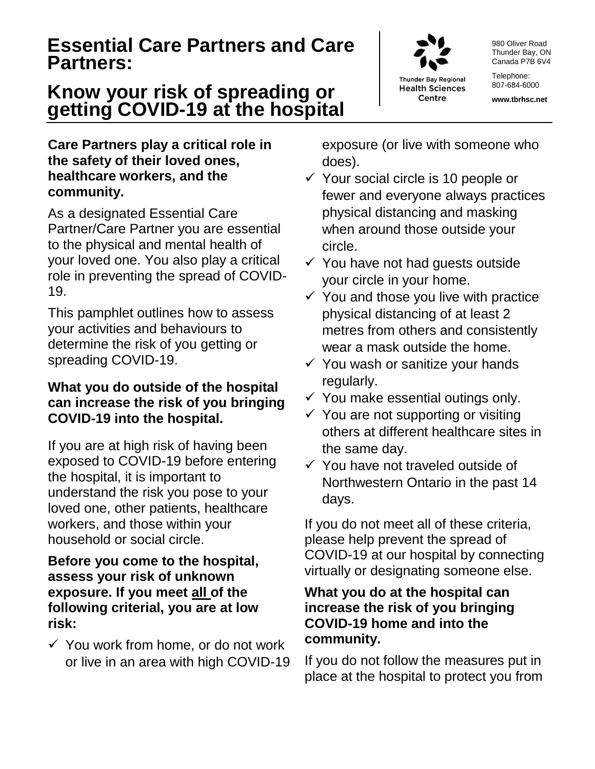### **Essential Care Partners and Care Partners:**

## **Know your risk of spreading or getting COVID-19 at the hospital**

#### **Care Partners play a critical role in the safety of their loved ones, healthcare workers, and the community.**

As a designated Essential Care Partner/Care Partner you are essential to the physical and mental health of your loved one. You also play a critical role in preventing the spread of COVID-19.

This pamphlet outlines how to assess your activities and behaviours to determine the risk of you getting or spreading COVID-19.

#### **What you do outside of the hospital can increase the risk of you bringing COVID-19 into the hospital.**

If you are at high risk of having been exposed to COVID-19 before entering the hospital, it is important to understand the risk you pose to your loved one, other patients, healthcare workers, and those within your household or social circle.

#### **Before you come to the hospital, assess your risk of unknown exposure. If you meet all of the following criterial, you are at low risk:**

 $\checkmark$  You work from home, or do not work or live in an area with high COVID-19 exposure (or live with someone who does).

- $\checkmark$  Your social circle is 10 people or fewer and everyone always practices physical distancing and masking when around those outside your circle.
- $\checkmark$  You have not had guests outside your circle in your home.
- $\checkmark$  You and those you live with practice physical distancing of at least 2 metres from others and consistently wear a mask outside the home.
- $\checkmark$  You wash or sanitize your hands regularly.
- $\checkmark$  You make essential outings only.
- $\checkmark$  You are not supporting or visiting others at different healthcare sites in the same day.
- $\checkmark$  You have not traveled outside of Northwestern Ontario in the past 14 days.

If you do not meet all of these criteria, please help prevent the spread of COVID-19 at our hospital by connecting virtually or designating someone else.

#### **What you do at the hospital can increase the risk of you bringing COVID-19 home and into the community.**

If you do not follow the measures put in place at the hospital to protect you from

**Thunder Bay Regional** 

**Health Sciences** Centre

980 Oliver Road Thunder Bay, ON Canada P7B 6V4

Telephone: 807-684-6000

**www.tbrhsc.net**